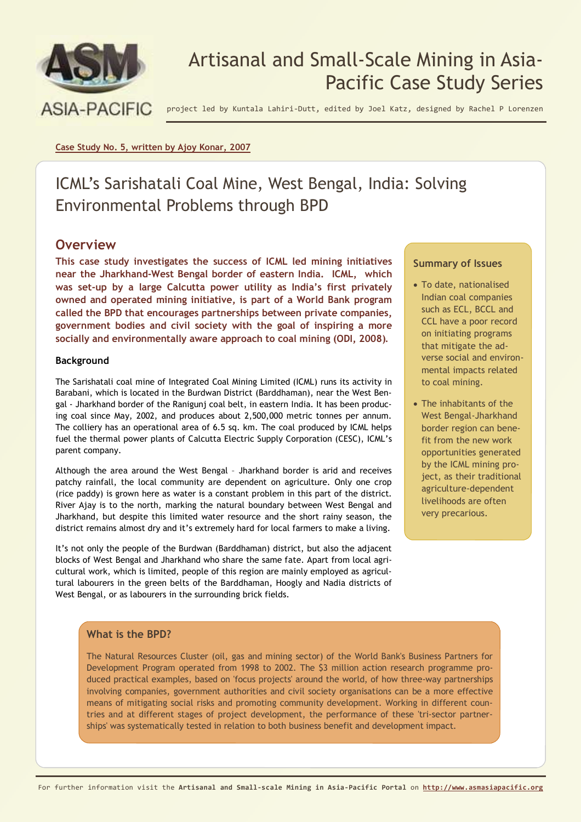

# Artisanal and Small-Scale Mining in Asia-Pacific Case Study Series

project led by Kuntala Lahiri-Dutt, edited by Joel Katz, designed by Rachel P Lorenzen

#### **Case Study No. 5, written by Ajoy Konar, 2007**

# ICML's Sarishatali Coal Mine, West Bengal, India: Solving Environmental Problems through BPD

## **Overview**

**This case study investigates the success of ICML led mining initiatives near the Jharkhand-West Bengal border of eastern India. ICML, which was set-up by a large Calcutta power utility as India's first privately owned and operated mining initiative, is part of a World Bank program called the BPD that encourages partnerships between private companies, government bodies and civil society with the goal of inspiring a more socially and environmentally aware approach to coal mining (ODI, 2008).**

## **Background**

The Sarishatali coal mine of Integrated Coal Mining Limited (ICML) runs its activity in Barabani, which is located in the Burdwan District (Barddhaman), near the West Bengal - Jharkhand border of the Ranigunj coal belt, in eastern India. It has been producing coal since May, 2002, and produces about 2,500,000 metric tonnes per annum. The colliery has an operational area of 6.5 sq. km. The coal produced by ICML helps fuel the thermal power plants of Calcutta Electric Supply Corporation (CESC), ICML's parent company.

Although the area around the West Bengal – Jharkhand border is arid and receives patchy rainfall, the local community are dependent on agriculture. Only one crop (rice paddy) is grown here as water is a constant problem in this part of the district. River Ajay is to the north, marking the natural boundary between West Bengal and Jharkhand, but despite this limited water resource and the short rainy season, the district remains almost dry and it's extremely hard for local farmers to make a living.

It's not only the people of the Burdwan (Barddhaman) district, but also the adjacent blocks of West Bengal and Jharkhand who share the same fate. Apart from local agricultural work, which is limited, people of this region are mainly employed as agricultural labourers in the green belts of the Barddhaman, Hoogly and Nadia districts of West Bengal, or as labourers in the surrounding brick fields.

## **Summary of Issues**

- To date, nationalised Indian coal companies such as ECL, BCCL and CCL have a poor record on initiating programs that mitigate the adverse social and environmental impacts related to coal mining.
- The inhabitants of the West Bengal-Jharkhand border region can benefit from the new work opportunities generated by the ICML mining project, as their traditional agriculture-dependent livelihoods are often very precarious.

#### **What is the BPD?**

The Natural Resources Cluster (oil, gas and mining sector) of the World Bank's Business Partners for Development Program operated from 1998 to 2002. The \$3 million action research programme produced practical examples, based on 'focus projects' around the world, of how three-way partnerships involving companies, government authorities and civil society organisations can be a more effective means of mitigating social risks and promoting community development. Working in different countries and at different stages of project development, the performance of these 'tri-sector partnerships' was systematically tested in relation to both business benefit and development impact.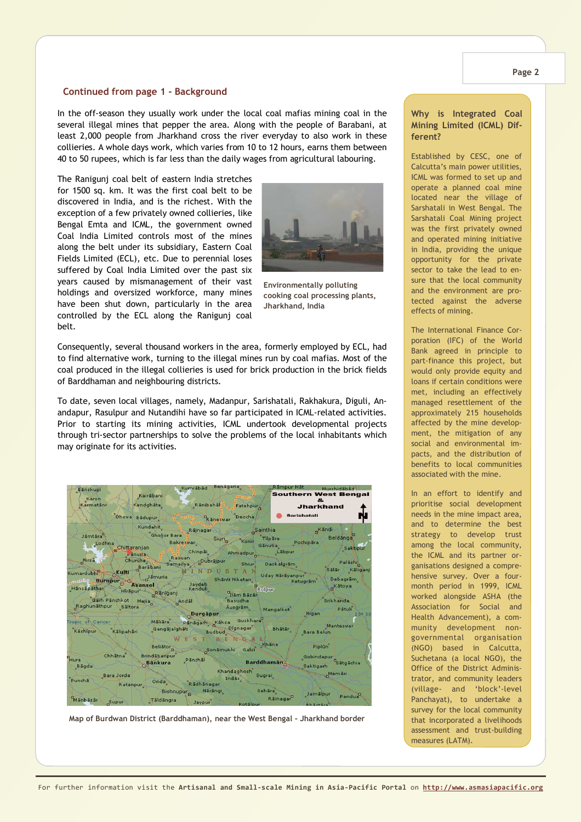#### **Continued from page 1 - Background**

In the off-season they usually work under the local coal mafias mining coal in the several illegal mines that pepper the area. Along with the people of Barabani, at least 2,000 people from Jharkhand cross the river everyday to also work in these collieries. A whole days work, which varies from 10 to 12 hours, earns them between 40 to 50 rupees, which is far less than the daily wages from agricultural labouring.

The Ranigunj coal belt of eastern India stretches for 1500 sq. km. It was the first coal belt to be discovered in India, and is the richest. With the exception of a few privately owned collieries, like Bengal Emta and ICML, the government owned Coal India Limited controls most of the mines along the belt under its subsidiary, Eastern Coal Fields Limited (ECL), etc. Due to perennial loses suffered by Coal India Limited over the past six years caused by mismanagement of their vast holdings and oversized workforce, many mines have been shut down, particularly in the area controlled by the ECL along the Ranigunj coal belt.



**Environmentally polluting cooking coal processing plants, Jharkhand, India** 

Consequently, several thousand workers in the area, formerly employed by ECL, had to find alternative work, turning to the illegal mines run by coal mafias. Most of the coal produced in the illegal collieries is used for brick production in the brick fields of Barddhaman and neighbouring districts.

To date, seven local villages, namely, Madanpur, Sarishatali, Rakhakura, Diguli, Anandapur, Rasulpur and Nutandihi have so far participated in ICML-related activities. Prior to starting its mining activities, ICML undertook developmental projects through tri-sector partnerships to solve the problems of the local inhabitants which may originate for its activities.



**Map of Burdwan District (Barddhaman), near the West Bengal - Jharkhand border** 

#### **Why is Integrated Coal Mining Limited (ICML) Different?**

Established by CESC, one of Calcutta's main power utilities, ICML was formed to set up and operate a planned coal mine located near the village of Sarshatali in West Bengal. The Sarshatali Coal Mining project was the first privately owned and operated mining initiative in India, providing the unique opportunity for the private sector to take the lead to ensure that the local community and the environment are protected against the adverse effects of mining.

The International Finance Corporation (IFC) of the World Bank agreed in principle to part-finance this project, but would only provide equity and loans if certain conditions were met, including an effectively managed resettlement of the approximately 215 households affected by the mine development, the mitigation of any social and environmental impacts, and the distribution of benefits to local communities associated with the mine.

In an effort to identify and prioritise social development needs in the mine impact area, and to determine the best strategy to develop trust among the local community, the ICML and its partner organisations designed a comprehensive survey. Over a fourmonth period in 1999, ICML worked alongside ASHA (the Association for Social and Health Advancement), a community development nongovernmental organisation (NGO) based in Calcutta, Suchetana (a local NGO), the Office of the District Administrator, and community leaders (village- and 'block'-level Panchayat), to undertake a survey for the local community that incorporated a livelihoods assessment and trust-building measures (LATM).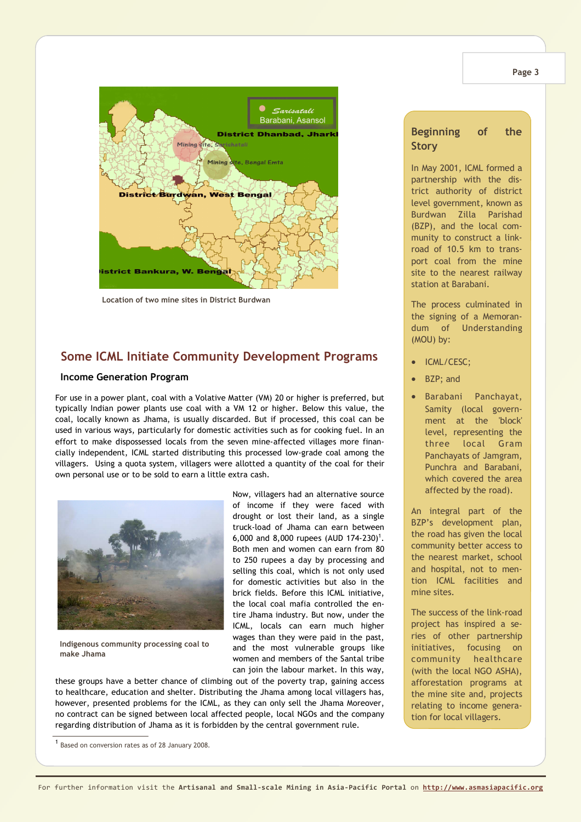



**Location of two mine sites in District Burdwan**

## **Some ICML Initiate Community Development Programs**

#### **Income Generation Program**

For use in a power plant, coal with a Volative Matter (VM) 20 or higher is preferred, but typically Indian power plants use coal with a VM 12 or higher. Below this value, the coal, locally known as Jhama, is usually discarded. But if processed, this coal can be used in various ways, particularly for domestic activities such as for cooking fuel. In an effort to make dispossessed locals from the seven mine-affected villages more financially independent, ICML started distributing this processed low-grade coal among the villagers. Using a quota system, villagers were allotted a quantity of the coal for their own personal use or to be sold to earn a little extra cash.



**Indigenous community processing coal to make Jhama**

Now, villagers had an alternative source of income if they were faced with drought or lost their land, as a single truck-load of Jhama can earn between 6,000 and 8,000 rupees (AUD 174-230)<sup>1</sup>. Both men and women can earn from 80 to 250 rupees a day by processing and selling this coal, which is not only used for domestic activities but also in the brick fields. Before this ICML initiative, the local coal mafia controlled the entire Jhama industry. But now, under the ICML, locals can earn much higher wages than they were paid in the past, and the most vulnerable groups like women and members of the Santal tribe can join the labour market. In this way,

these groups have a better chance of climbing out of the poverty trap, gaining access to healthcare, education and shelter. Distributing the Jhama among local villagers has, however, presented problems for the ICML, as they can only sell the Jhama Moreover, no contract can be signed between local affected people, local NGOs and the company regarding distribution of Jhama as it is forbidden by the central government rule.

## **Beginning of the Story**

In May 2001, ICML formed a partnership with the district authority of district level government, known as Burdwan Zilla Parishad (BZP), and the local community to construct a linkroad of 10.5 km to transport coal from the mine site to the nearest railway station at Barabani.

The process culminated in the signing of a Memorandum of Understanding (MOU) by:

- ICML/CESC:
- BZP: and
- Barabani Panchayat, Samity (local government at the 'block' level, representing the three local Gram Panchayats of Jamgram, Punchra and Barabani, which covered the area affected by the road).

An integral part of the BZP's development plan, the road has given the local community better access to the nearest market, school and hospital, not to mention ICML facilities and mine sites.

The success of the link-road project has inspired a series of other partnership initiatives, focusing on community healthcare (with the local NGO ASHA), afforestation programs at the mine site and, projects relating to income generation for local villagers.

<sup>&</sup>lt;sup>1</sup> Based on conversion rates as of 28 January 2008.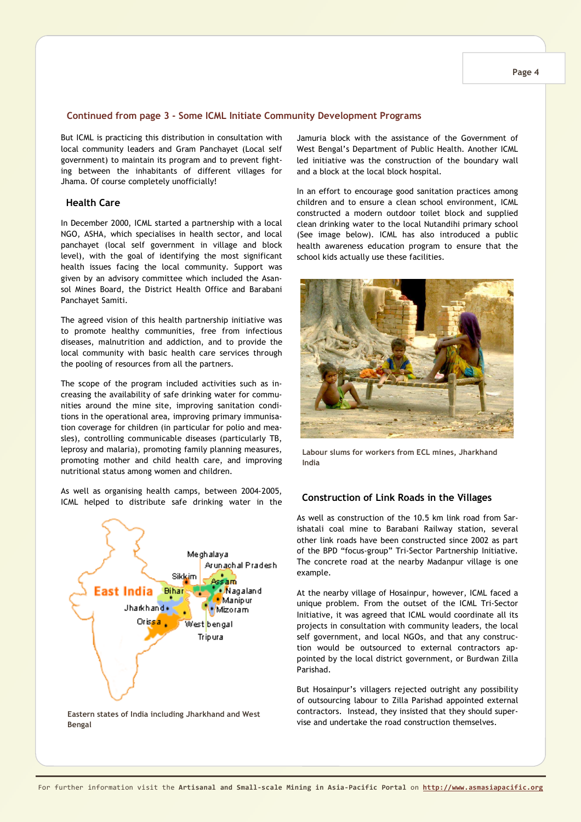#### **Page 4**

#### **Continued from page 3 - Some ICML Initiate Community Development Programs**

But ICML is practicing this distribution in consultation with local community leaders and Gram Panchayet (Local self government) to maintain its program and to prevent fighting between the inhabitants of different villages for Jhama. Of course completely unofficially!

#### **Health Care**

In December 2000, ICML started a partnership with a local NGO, ASHA, which specialises in health sector, and local panchayet (local self government in village and block level), with the goal of identifying the most significant health issues facing the local community. Support was given by an advisory committee which included the Asansol Mines Board, the District Health Office and Barabani Panchayet Samiti.

The agreed vision of this health partnership initiative was to promote healthy communities, free from infectious diseases, malnutrition and addiction, and to provide the local community with basic health care services through the pooling of resources from all the partners.

The scope of the program included activities such as increasing the availability of safe drinking water for communities around the mine site, improving sanitation conditions in the operational area, improving primary immunisation coverage for children (in particular for polio and measles), controlling communicable diseases (particularly TB, leprosy and malaria), promoting family planning measures, promoting mother and child health care, and improving nutritional status among women and children.

As well as organising health camps, between 2004-2005, ICML helped to distribute safe drinking water in the



**Eastern states of India including Jharkhand and West Bengal** 

Jamuria block with the assistance of the Government of West Bengal's Department of Public Health. Another ICML led initiative was the construction of the boundary wall and a block at the local block hospital.

In an effort to encourage good sanitation practices among children and to ensure a clean school environment, ICML constructed a modern outdoor toilet block and supplied clean drinking water to the local Nutandihi primary school (See image below). ICML has also introduced a public health awareness education program to ensure that the school kids actually use these facilities.



**Labour slums for workers from ECL mines, Jharkhand India** 

#### **Construction of Link Roads in the Villages**

As well as construction of the 10.5 km link road from Sarishatali coal mine to Barabani Railway station, several other link roads have been constructed since 2002 as part of the BPD "focus-group" Tri-Sector Partnership Initiative. The concrete road at the nearby Madanpur village is one example.

At the nearby village of Hosainpur, however, ICML faced a unique problem. From the outset of the ICML Tri-Sector Initiative, it was agreed that ICML would coordinate all its projects in consultation with community leaders, the local self government, and local NGOs, and that any construction would be outsourced to external contractors appointed by the local district government, or Burdwan Zilla Parishad.

But Hosainpur's villagers rejected outright any possibility of outsourcing labour to Zilla Parishad appointed external contractors. Instead, they insisted that they should supervise and undertake the road construction themselves.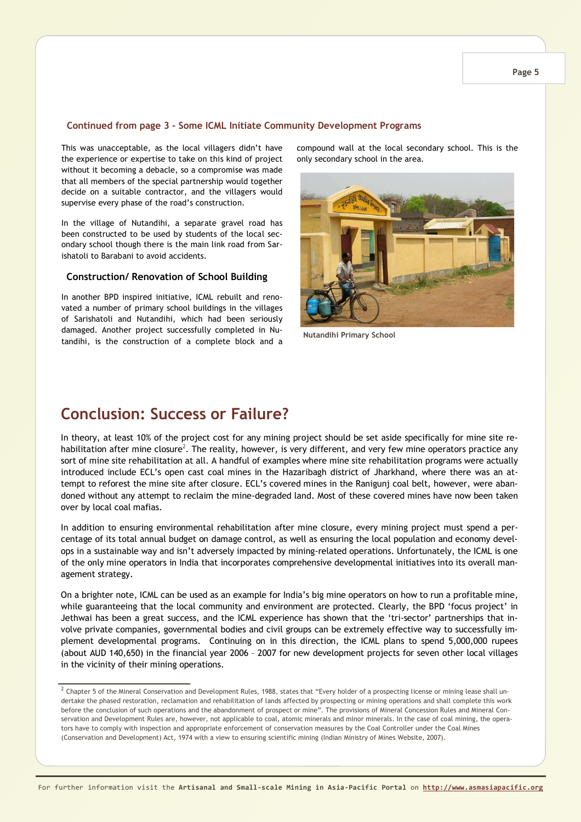#### **Continued from page 3 - Some ICML Initiate Community Development Programs**

This was unacceptable, as the local villagers didn't have the experience or expertise to take on this kind of project without it becoming a debacle, so a compromise was made that all members of the special partnership would together decide on a suitable contractor, and the villagers would supervise every phase of the road's construction.

In the village of Nutandihi, a separate gravel road has been constructed to be used by students of the local secondary school though there is the main link road from Sarishatoli to Barabani to avoid accidents.

### **Construction/ Renovation of School Building**

In another BPD inspired initiative, ICML rebuilt and renovated a number of primary school buildings in the villages of Sarishatoli and Nutandihi, which had been seriously damaged. Another project successfully completed in Nutandihi, is the construction of a complete block and a compound wall at the local secondary school. This is the only secondary school in the area.



**Nutandihi Primary School** 

## **Conclusion: Success or Failure?**

In theory, at least 10% of the project cost for any mining project should be set aside specifically for mine site rehabilitation after mine closure<sup>2</sup>. The reality, however, is very different, and very few mine operators practice any sort of mine site rehabilitation at all. A handful of examples where mine site rehabilitation programs were actually introduced include ECL's open cast coal mines in the Hazaribagh district of Jharkhand, where there was an attempt to reforest the mine site after closure. ECL's covered mines in the Ranigunj coal belt, however, were abandoned without any attempt to reclaim the mine-degraded land. Most of these covered mines have now been taken over by local coal mafias.

In addition to ensuring environmental rehabilitation after mine closure, every mining project must spend a percentage of its total annual budget on damage control, as well as ensuring the local population and economy develops in a sustainable way and isn't adversely impacted by mining-related operations. Unfortunately, the ICML is one of the only mine operators in India that incorporates comprehensive developmental initiatives into its overall management strategy.

On a brighter note, ICML can be used as an example for India's big mine operators on how to run a profitable mine, while guaranteeing that the local community and environment are protected. Clearly, the BPD 'focus project' in Jethwai has been a great success, and the ICML experience has shown that the 'tri-sector' partnerships that involve private companies, governmental bodies and civil groups can be extremely effective way to successfully implement developmental programs. Continuing on in this direction, the ICML plans to spend 5,000,000 rupees (about AUD 140,650) in the financial year 2006 – 2007 for new development projects for seven other local villages in the vicinity of their mining operations.

 $^2$  Chapter 5 of the Mineral Conservation and Development Rules, 1988, states that "Every holder of a prospecting license or mining lease shall undertake the phased restoration, reclamation and rehabilitation of lands affected by prospecting or mining operations and shall complete this work before the conclusion of such operations and the abandonment of prospect or mine". The provisions of Mineral Concession Rules and Mineral Conservation and Development Rules are, however, not applicable to coal, atomic minerals and minor minerals. In the case of coal mining, the operators have to comply with inspection and appropriate enforcement of conservation measures by the Coal Controller under the Coal Mines (Conservation and Development) Act, 1974 with a view to ensuring scientific mining (Indian Ministry of Mines Website, 2007).